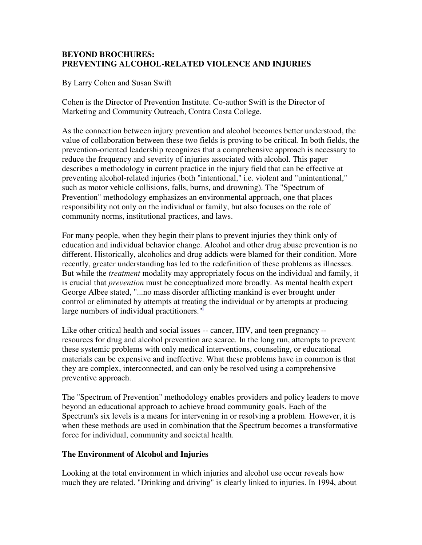## **BEYOND BROCHURES: PREVENTING ALCOHOL-RELATED VIOLENCE AND INJURIES**

By Larry Cohen and Susan Swift

Cohen is the Director of Prevention Institute. Co-author Swift is the Director of Marketing and Community Outreach, Contra Costa College.

As the connection between injury prevention and alcohol becomes better understood, the value of collaboration between these two fields is proving to be critical. In both fields, the prevention-oriented leadership recognizes that a comprehensive approach is necessary to reduce the frequency and severity of injuries associated with alcohol. This paper describes a methodology in current practice in the injury field that can be effective at preventing alcohol-related injuries (both "intentional," i.e. violent and "unintentional," such as motor vehicle collisions, falls, burns, and drowning). The "Spectrum of Prevention" methodology emphasizes an environmental approach, one that places responsibility not only on the individual or family, but also focuses on the role of community norms, institutional practices, and laws.

For many people, when they begin their plans to prevent injuries they think only of education and individual behavior change. Alcohol and other drug abuse prevention is no different. Historically, alcoholics and drug addicts were blamed for their condition. More recently, greater understanding has led to the redefinition of these problems as illnesses. But while the *treatment* modality may appropriately focus on the individual and family, it is crucial that *prevention* must be conceptualized more broadly. As mental health expert George Albee stated, "...no mass disorder afflicting mankind is ever brought under control or eliminated by attempts at treating the individual or by attempts at producing large numbers of individual practitioners."<sup>1</sup>

Like other critical health and social issues -- cancer, HIV, and teen pregnancy - resources for drug and alcohol prevention are scarce. In the long run, attempts to prevent these systemic problems with only medical interventions, counseling, or educational materials can be expensive and ineffective. What these problems have in common is that they are complex, interconnected, and can only be resolved using a comprehensive preventive approach.

The "Spectrum of Prevention" methodology enables providers and policy leaders to move beyond an educational approach to achieve broad community goals. Each of the Spectrum's six levels is a means for intervening in or resolving a problem. However, it is when these methods are used in combination that the Spectrum becomes a transformative force for individual, community and societal health.

# **The Environment of Alcohol and Injuries**

Looking at the total environment in which injuries and alcohol use occur reveals how much they are related. "Drinking and driving" is clearly linked to injuries. In 1994, about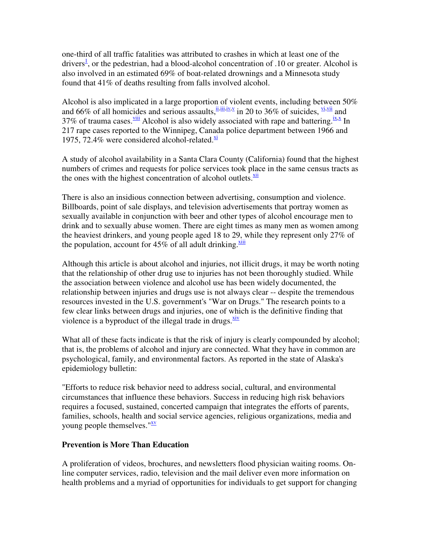one-third of all traffic fatalities was attributed to crashes in which at least one of the drivers<sup>1</sup>, or the pedestrian, had a blood-alcohol concentration of .10 or greater. Alcohol is also involved in an estimated 69% of boat-related drownings and a Minnesota study found that 41% of deaths resulting from falls involved alcohol.

Alcohol is also implicated in a large proportion of violent events, including between 50% and 66% of all homicides and serious assaults,  $\frac{\text{ii,iii,iv,} \text{v}}{\text{iii,iv}}$  in 20 to 36% of suicides,  $\frac{\text{vi,vii}}{\text{iv}}$  and 37% of trauma cases.  $\frac{viii}{ }$  Alcohol is also widely associated with rape and battering.  $\frac{ix}{ }$  In 217 rape cases reported to the Winnipeg, Canada police department between 1966 and 1975, 72.4% were considered alcohol-related. $\frac{x^{\frac{1}{2}}}{x^{\frac{1}{2}}}$ 

A study of alcohol availability in a Santa Clara County (California) found that the highest numbers of crimes and requests for police services took place in the same census tracts as the ones with the highest concentration of alcohol outlets. Xii

There is also an insidious connection between advertising, consumption and violence. Billboards, point of sale displays, and television advertisements that portray women as sexually available in conjunction with beer and other types of alcohol encourage men to drink and to sexually abuse women. There are eight times as many men as women among the heaviest drinkers, and young people aged 18 to 29, while they represent only 27% of the population, account for  $45\%$  of all adult drinking. $\frac{x\text{iii}}{x\text{iv}}$ 

Although this article is about alcohol and injuries, not illicit drugs, it may be worth noting that the relationship of other drug use to injuries has not been thoroughly studied. While the association between violence and alcohol use has been widely documented, the relationship between injuries and drugs use is not always clear -- despite the tremendous resources invested in the U.S. government's "War on Drugs." The research points to a few clear links between drugs and injuries, one of which is the definitive finding that violence is a byproduct of the illegal trade in drugs. **xiv** 

What all of these facts indicate is that the risk of injury is clearly compounded by alcohol; that is, the problems of alcohol and injury are connected. What they have in common are psychological, family, and environmental factors. As reported in the state of Alaska's epidemiology bulletin:

"Efforts to reduce risk behavior need to address social, cultural, and environmental circumstances that influence these behaviors. Success in reducing high risk behaviors requires a focused, sustained, concerted campaign that integrates the efforts of parents, families, schools, health and social service agencies, religious organizations, media and young people themselves."XV

# **Prevention is More Than Education**

A proliferation of videos, brochures, and newsletters flood physician waiting rooms. Online computer services, radio, television and the mail deliver even more information on health problems and a myriad of opportunities for individuals to get support for changing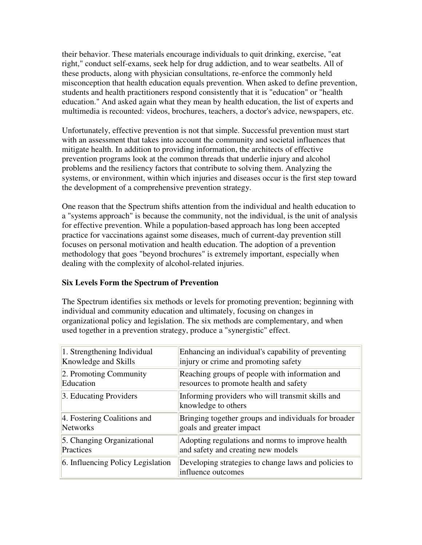their behavior. These materials encourage individuals to quit drinking, exercise, "eat right," conduct self-exams, seek help for drug addiction, and to wear seatbelts. All of these products, along with physician consultations, re-enforce the commonly held misconception that health education equals prevention. When asked to define prevention, students and health practitioners respond consistently that it is "education" or "health education." And asked again what they mean by health education, the list of experts and multimedia is recounted: videos, brochures, teachers, a doctor's advice, newspapers, etc.

Unfortunately, effective prevention is not that simple. Successful prevention must start with an assessment that takes into account the community and societal influences that mitigate health. In addition to providing information, the architects of effective prevention programs look at the common threads that underlie injury and alcohol problems and the resiliency factors that contribute to solving them. Analyzing the systems, or environment, within which injuries and diseases occur is the first step toward the development of a comprehensive prevention strategy.

One reason that the Spectrum shifts attention from the individual and health education to a "systems approach" is because the community, not the individual, is the unit of analysis for effective prevention. While a population-based approach has long been accepted practice for vaccinations against some diseases, much of current-day prevention still focuses on personal motivation and health education. The adoption of a prevention methodology that goes "beyond brochures" is extremely important, especially when dealing with the complexity of alcohol-related injuries.

# **Six Levels Form the Spectrum of Prevention**

The Spectrum identifies six methods or levels for promoting prevention; beginning with individual and community education and ultimately, focusing on changes in organizational policy and legislation. The six methods are complementary, and when used together in a prevention strategy, produce a "synergistic" effect.

| 1. Strengthening Individual       | Enhancing an individual's capability of preventing                         |
|-----------------------------------|----------------------------------------------------------------------------|
| Knowledge and Skills              | injury or crime and promoting safety                                       |
| 2. Promoting Community            | Reaching groups of people with information and                             |
| Education                         | resources to promote health and safety                                     |
| 3. Educating Providers            | Informing providers who will transmit skills and<br>knowledge to others    |
| 4. Fostering Coalitions and       | Bringing together groups and individuals for broader                       |
| Networks                          | goals and greater impact                                                   |
| 5. Changing Organizational        | Adopting regulations and norms to improve health                           |
| Practices                         | and safety and creating new models                                         |
| 6. Influencing Policy Legislation | Developing strategies to change laws and policies to<br>influence outcomes |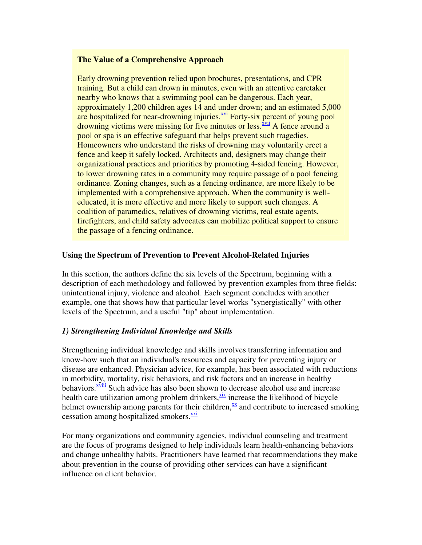### **The Value of a Comprehensive Approach**

Early drowning prevention relied upon brochures, presentations, and CPR training. But a child can drown in minutes, even with an attentive caretaker nearby who knows that a swimming pool can be dangerous. Each year, approximately 1,200 children ages 14 and under drown; and an estimated 5,000 are hospitalized for near-drowning injuries.<sup>xvi</sup> Forty-six percent of young pool drowning victims were missing for five minutes or less. XVII A fence around a pool or spa is an effective safeguard that helps prevent such tragedies. Homeowners who understand the risks of drowning may voluntarily erect a fence and keep it safely locked. Architects and, designers may change their organizational practices and priorities by promoting 4-sided fencing. However, to lower drowning rates in a community may require passage of a pool fencing ordinance. Zoning changes, such as a fencing ordinance, are more likely to be implemented with a comprehensive approach. When the community is welleducated, it is more effective and more likely to support such changes. A coalition of paramedics, relatives of drowning victims, real estate agents, firefighters, and child safety advocates can mobilize political support to ensure the passage of a fencing ordinance.

### **Using the Spectrum of Prevention to Prevent Alcohol-Related Injuries**

In this section, the authors define the six levels of the Spectrum, beginning with a description of each methodology and followed by prevention examples from three fields: unintentional injury, violence and alcohol. Each segment concludes with another example, one that shows how that particular level works "synergistically" with other levels of the Spectrum, and a useful "tip" about implementation.

### *1) Strengthening Individual Knowledge and Skills*

Strengthening individual knowledge and skills involves transferring information and know-how such that an individual's resources and capacity for preventing injury or disease are enhanced. Physician advice, for example, has been associated with reductions in morbidity, mortality, risk behaviors, and risk factors and an increase in healthy behaviors.<sup><u>xviii</u> Such advice has also been shown to decrease alcohol use and increase</sup> health care utilization among problem drinkers,  $\frac{X}{X}$  increase the likelihood of bicycle helmet ownership among parents for their children, $\frac{xx}{}$  and contribute to increased smoking cessation among hospitalized smokers.<sup>xxi</sup>

For many organizations and community agencies, individual counseling and treatment are the focus of programs designed to help individuals learn health-enhancing behaviors and change unhealthy habits. Practitioners have learned that recommendations they make about prevention in the course of providing other services can have a significant influence on client behavior.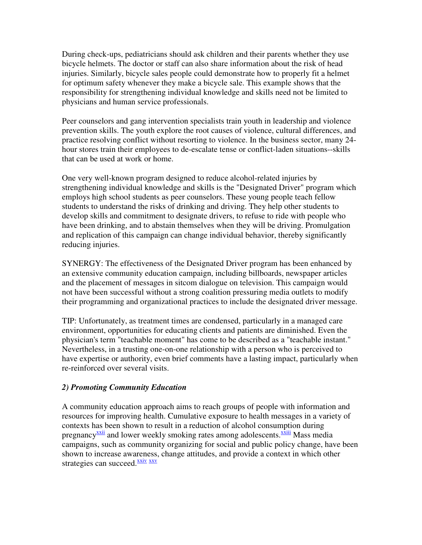During check-ups, pediatricians should ask children and their parents whether they use bicycle helmets. The doctor or staff can also share information about the risk of head injuries. Similarly, bicycle sales people could demonstrate how to properly fit a helmet for optimum safety whenever they make a bicycle sale. This example shows that the responsibility for strengthening individual knowledge and skills need not be limited to physicians and human service professionals.

Peer counselors and gang intervention specialists train youth in leadership and violence prevention skills. The youth explore the root causes of violence, cultural differences, and practice resolving conflict without resorting to violence. In the business sector, many 24 hour stores train their employees to de-escalate tense or conflict-laden situations--skills that can be used at work or home.

One very well-known program designed to reduce alcohol-related injuries by strengthening individual knowledge and skills is the "Designated Driver" program which employs high school students as peer counselors. These young people teach fellow students to understand the risks of drinking and driving. They help other students to develop skills and commitment to designate drivers, to refuse to ride with people who have been drinking, and to abstain themselves when they will be driving. Promulgation and replication of this campaign can change individual behavior, thereby significantly reducing injuries.

SYNERGY: The effectiveness of the Designated Driver program has been enhanced by an extensive community education campaign, including billboards, newspaper articles and the placement of messages in sitcom dialogue on television. This campaign would not have been successful without a strong coalition pressuring media outlets to modify their programming and organizational practices to include the designated driver message.

TIP: Unfortunately, as treatment times are condensed, particularly in a managed care environment, opportunities for educating clients and patients are diminished. Even the physician's term "teachable moment" has come to be described as a "teachable instant." Nevertheless, in a trusting one-on-one relationship with a person who is perceived to have expertise or authority, even brief comments have a lasting impact, particularly when re-reinforced over several visits.

### *2) Promoting Community Education*

A community education approach aims to reach groups of people with information and resources for improving health. Cumulative exposure to health messages in a variety of contexts has been shown to result in a reduction of alcohol consumption during pregnancy $\frac{xxiii}{}$  and lower weekly smoking rates among adolescents. $\frac{xxiii}{}$  Mass media campaigns, such as community organizing for social and public policy change, have been shown to increase awareness, change attitudes, and provide a context in which other strategies can succeed. XXIV XXV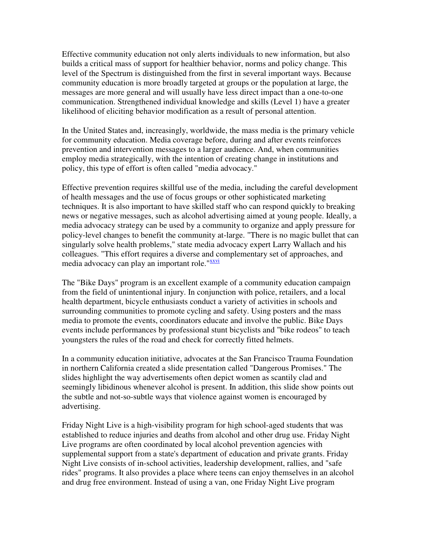Effective community education not only alerts individuals to new information, but also builds a critical mass of support for healthier behavior, norms and policy change. This level of the Spectrum is distinguished from the first in several important ways. Because community education is more broadly targeted at groups or the population at large, the messages are more general and will usually have less direct impact than a one-to-one communication. Strengthened individual knowledge and skills (Level 1) have a greater likelihood of eliciting behavior modification as a result of personal attention.

In the United States and, increasingly, worldwide, the mass media is the primary vehicle for community education. Media coverage before, during and after events reinforces prevention and intervention messages to a larger audience. And, when communities employ media strategically, with the intention of creating change in institutions and policy, this type of effort is often called "media advocacy."

Effective prevention requires skillful use of the media, including the careful development of health messages and the use of focus groups or other sophisticated marketing techniques. It is also important to have skilled staff who can respond quickly to breaking news or negative messages, such as alcohol advertising aimed at young people. Ideally, a media advocacy strategy can be used by a community to organize and apply pressure for policy-level changes to benefit the community at-large. "There is no magic bullet that can singularly solve health problems," state media advocacy expert Larry Wallach and his colleagues. "This effort requires a diverse and complementary set of approaches, and media advocacy can play an important role."xxvi

The "Bike Days" program is an excellent example of a community education campaign from the field of unintentional injury. In conjunction with police, retailers, and a local health department, bicycle enthusiasts conduct a variety of activities in schools and surrounding communities to promote cycling and safety. Using posters and the mass media to promote the events, coordinators educate and involve the public. Bike Days events include performances by professional stunt bicyclists and "bike rodeos" to teach youngsters the rules of the road and check for correctly fitted helmets.

In a community education initiative, advocates at the San Francisco Trauma Foundation in northern California created a slide presentation called "Dangerous Promises." The slides highlight the way advertisements often depict women as scantily clad and seemingly libidinous whenever alcohol is present. In addition, this slide show points out the subtle and not-so-subtle ways that violence against women is encouraged by advertising.

Friday Night Live is a high-visibility program for high school-aged students that was established to reduce injuries and deaths from alcohol and other drug use. Friday Night Live programs are often coordinated by local alcohol prevention agencies with supplemental support from a state's department of education and private grants. Friday Night Live consists of in-school activities, leadership development, rallies, and "safe rides" programs. It also provides a place where teens can enjoy themselves in an alcohol and drug free environment. Instead of using a van, one Friday Night Live program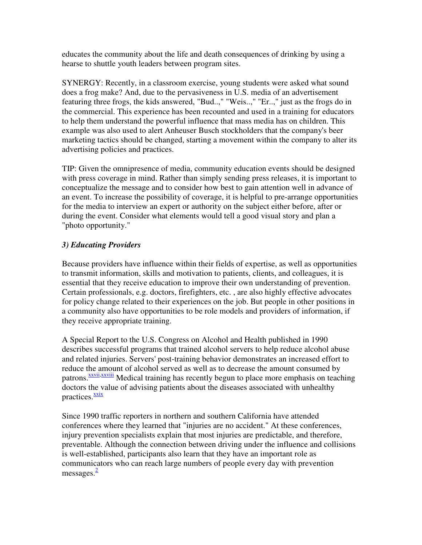educates the community about the life and death consequences of drinking by using a hearse to shuttle youth leaders between program sites.

SYNERGY: Recently, in a classroom exercise, young students were asked what sound does a frog make? And, due to the pervasiveness in U.S. media of an advertisement featuring three frogs, the kids answered, "Bud..," "Weis..," "Er..," just as the frogs do in the commercial. This experience has been recounted and used in a training for educators to help them understand the powerful influence that mass media has on children. This example was also used to alert Anheuser Busch stockholders that the company's beer marketing tactics should be changed, starting a movement within the company to alter its advertising policies and practices.

TIP: Given the omnipresence of media, community education events should be designed with press coverage in mind. Rather than simply sending press releases, it is important to conceptualize the message and to consider how best to gain attention well in advance of an event. To increase the possibility of coverage, it is helpful to pre-arrange opportunities for the media to interview an expert or authority on the subject either before, after or during the event. Consider what elements would tell a good visual story and plan a "photo opportunity."

# *3) Educating Providers*

Because providers have influence within their fields of expertise, as well as opportunities to transmit information, skills and motivation to patients, clients, and colleagues, it is essential that they receive education to improve their own understanding of prevention. Certain professionals, e.g. doctors, firefighters, etc. , are also highly effective advocates for policy change related to their experiences on the job. But people in other positions in a community also have opportunities to be role models and providers of information, if they receive appropriate training.

A Special Report to the U.S. Congress on Alcohol and Health published in 1990 describes successful programs that trained alcohol servers to help reduce alcohol abuse and related injuries. Servers' post-training behavior demonstrates an increased effort to reduce the amount of alcohol served as well as to decrease the amount consumed by patrons.<sup>XXVII</sup> Medical training has recently begun to place more emphasis on teaching doctors the value of advising patients about the diseases associated with unhealthy practices. XXIX

Since 1990 traffic reporters in northern and southern California have attended conferences where they learned that "injuries are no accident." At these conferences, injury prevention specialists explain that most injuries are predictable, and therefore, preventable. Although the connection between driving under the influence and collisions is well-established, participants also learn that they have an important role as communicators who can reach large numbers of people every day with prevention messages.<sup>2</sup>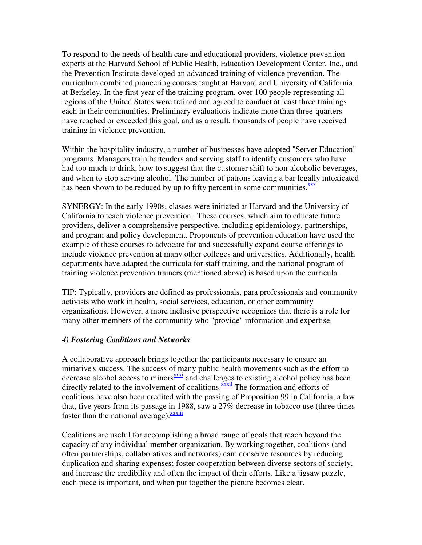To respond to the needs of health care and educational providers, violence prevention experts at the Harvard School of Public Health, Education Development Center, Inc., and the Prevention Institute developed an advanced training of violence prevention. The curriculum combined pioneering courses taught at Harvard and University of California at Berkeley. In the first year of the training program, over 100 people representing all regions of the United States were trained and agreed to conduct at least three trainings each in their communities. Preliminary evaluations indicate more than three-quarters have reached or exceeded this goal, and as a result, thousands of people have received training in violence prevention.

Within the hospitality industry, a number of businesses have adopted "Server Education" programs. Managers train bartenders and serving staff to identify customers who have had too much to drink, how to suggest that the customer shift to non-alcoholic beverages, and when to stop serving alcohol. The number of patrons leaving a bar legally intoxicated has been shown to be reduced by up to fifty percent in some communities. $\frac{xxx}{xx}$ 

SYNERGY: In the early 1990s, classes were initiated at Harvard and the University of California to teach violence prevention . These courses, which aim to educate future providers, deliver a comprehensive perspective, including epidemiology, partnerships, and program and policy development. Proponents of prevention education have used the example of these courses to advocate for and successfully expand course offerings to include violence prevention at many other colleges and universities. Additionally, health departments have adapted the curricula for staff training, and the national program of training violence prevention trainers (mentioned above) is based upon the curricula.

TIP: Typically, providers are defined as professionals, para professionals and community activists who work in health, social services, education, or other community organizations. However, a more inclusive perspective recognizes that there is a role for many other members of the community who "provide" information and expertise.

# *4) Fostering Coalitions and Networks*

A collaborative approach brings together the participants necessary to ensure an initiative's success. The success of many public health movements such as the effort to decrease alcohol access to minors $\frac{x \cdot x \cdot x^2}{x}$  and challenges to existing alcohol policy has been directly related to the involvement of coalitions.<sup>XXXII</sup> The formation and efforts of coalitions have also been credited with the passing of Proposition 99 in California, a law that, five years from its passage in 1988, saw a 27% decrease in tobacco use (three times faster than the national average). $\frac{xxxiii}{x}$ 

Coalitions are useful for accomplishing a broad range of goals that reach beyond the capacity of any individual member organization. By working together, coalitions (and often partnerships, collaboratives and networks) can: conserve resources by reducing duplication and sharing expenses; foster cooperation between diverse sectors of society, and increase the credibility and often the impact of their efforts. Like a jigsaw puzzle, each piece is important, and when put together the picture becomes clear.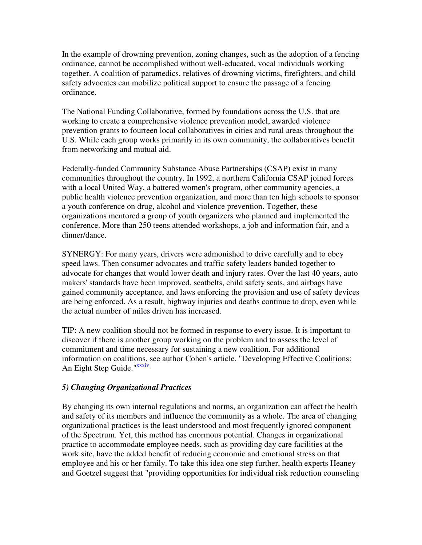In the example of drowning prevention, zoning changes, such as the adoption of a fencing ordinance, cannot be accomplished without well-educated, vocal individuals working together. A coalition of paramedics, relatives of drowning victims, firefighters, and child safety advocates can mobilize political support to ensure the passage of a fencing ordinance.

The National Funding Collaborative, formed by foundations across the U.S. that are working to create a comprehensive violence prevention model, awarded violence prevention grants to fourteen local collaboratives in cities and rural areas throughout the U.S. While each group works primarily in its own community, the collaboratives benefit from networking and mutual aid.

Federally-funded Community Substance Abuse Partnerships (CSAP) exist in many communities throughout the country. In 1992, a northern California CSAP joined forces with a local United Way, a battered women's program, other community agencies, a public health violence prevention organization, and more than ten high schools to sponsor a youth conference on drug, alcohol and violence prevention. Together, these organizations mentored a group of youth organizers who planned and implemented the conference. More than 250 teens attended workshops, a job and information fair, and a dinner/dance.

SYNERGY: For many years, drivers were admonished to drive carefully and to obey speed laws. Then consumer advocates and traffic safety leaders banded together to advocate for changes that would lower death and injury rates. Over the last 40 years, auto makers' standards have been improved, seatbelts, child safety seats, and airbags have gained community acceptance, and laws enforcing the provision and use of safety devices are being enforced. As a result, highway injuries and deaths continue to drop, even while the actual number of miles driven has increased.

TIP: A new coalition should not be formed in response to every issue. It is important to discover if there is another group working on the problem and to assess the level of commitment and time necessary for sustaining a new coalition. For additional information on coalitions, see author Cohen's article, "Developing Effective Coalitions: An Eight Step Guide."XXXIV

# *5) Changing Organizational Practices*

By changing its own internal regulations and norms, an organization can affect the health and safety of its members and influence the community as a whole. The area of changing organizational practices is the least understood and most frequently ignored component of the Spectrum. Yet, this method has enormous potential. Changes in organizational practice to accommodate employee needs, such as providing day care facilities at the work site, have the added benefit of reducing economic and emotional stress on that employee and his or her family. To take this idea one step further, health experts Heaney and Goetzel suggest that "providing opportunities for individual risk reduction counseling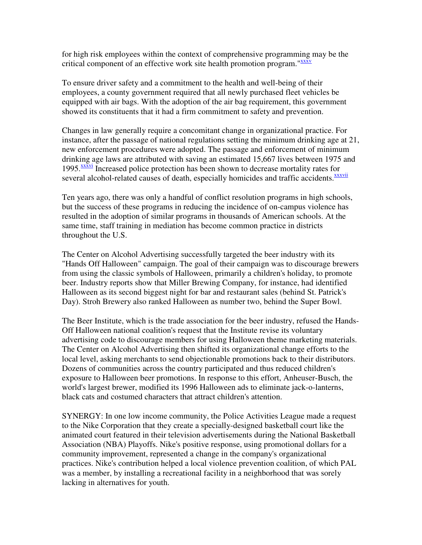for high risk employees within the context of comprehensive programming may be the critical component of an effective work site health promotion program."XXXV

To ensure driver safety and a commitment to the health and well-being of their employees, a county government required that all newly purchased fleet vehicles be equipped with air bags. With the adoption of the air bag requirement, this government showed its constituents that it had a firm commitment to safety and prevention.

Changes in law generally require a concomitant change in organizational practice. For instance, after the passage of national regulations setting the minimum drinking age at 21, new enforcement procedures were adopted. The passage and enforcement of minimum drinking age laws are attributed with saving an estimated 15,667 lives between 1975 and 1995.<sup>*XXXVI*</sup> Increased police protection has been shown to decrease mortality rates for several alcohol-related causes of death, especially homicides and traffic accidents.<sup>xxxvii</sup>

Ten years ago, there was only a handful of conflict resolution programs in high schools, but the success of these programs in reducing the incidence of on-campus violence has resulted in the adoption of similar programs in thousands of American schools. At the same time, staff training in mediation has become common practice in districts throughout the U.S.

The Center on Alcohol Advertising successfully targeted the beer industry with its "Hands Off Halloween" campaign. The goal of their campaign was to discourage brewers from using the classic symbols of Halloween, primarily a children's holiday, to promote beer. Industry reports show that Miller Brewing Company, for instance, had identified Halloween as its second biggest night for bar and restaurant sales (behind St. Patrick's Day). Stroh Brewery also ranked Halloween as number two, behind the Super Bowl.

The Beer Institute, which is the trade association for the beer industry, refused the Hands-Off Halloween national coalition's request that the Institute revise its voluntary advertising code to discourage members for using Halloween theme marketing materials. The Center on Alcohol Advertising then shifted its organizational change efforts to the local level, asking merchants to send objectionable promotions back to their distributors. Dozens of communities across the country participated and thus reduced children's exposure to Halloween beer promotions. In response to this effort, Anheuser-Busch, the world's largest brewer, modified its 1996 Halloween ads to eliminate jack-o-lanterns, black cats and costumed characters that attract children's attention.

SYNERGY: In one low income community, the Police Activities League made a request to the Nike Corporation that they create a specially-designed basketball court like the animated court featured in their television advertisements during the National Basketball Association (NBA) Playoffs. Nike's positive response, using promotional dollars for a community improvement, represented a change in the company's organizational practices. Nike's contribution helped a local violence prevention coalition, of which PAL was a member, by installing a recreational facility in a neighborhood that was sorely lacking in alternatives for youth.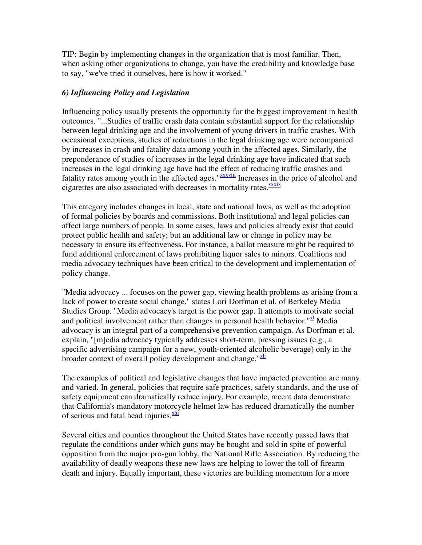TIP: Begin by implementing changes in the organization that is most familiar. Then, when asking other organizations to change, you have the credibility and knowledge base to say, "we've tried it ourselves, here is how it worked."

# *6) Influencing Policy and Legislation*

Influencing policy usually presents the opportunity for the biggest improvement in health outcomes. "...Studies of traffic crash data contain substantial support for the relationship between legal drinking age and the involvement of young drivers in traffic crashes. With occasional exceptions, studies of reductions in the legal drinking age were accompanied by increases in crash and fatality data among youth in the affected ages. Similarly, the preponderance of studies of increases in the legal drinking age have indicated that such increases in the legal drinking age have had the effect of reducing traffic crashes and fatality rates among youth in the affected ages."*xxxviii* Increases in the price of alcohol and cigarettes are also associated with decreases in mortality rates. XXXIX

This category includes changes in local, state and national laws, as well as the adoption of formal policies by boards and commissions. Both institutional and legal policies can affect large numbers of people. In some cases, laws and policies already exist that could protect public health and safety; but an additional law or change in policy may be necessary to ensure its effectiveness. For instance, a ballot measure might be required to fund additional enforcement of laws prohibiting liquor sales to minors. Coalitions and media advocacy techniques have been critical to the development and implementation of policy change.

"Media advocacy ... focuses on the power gap, viewing health problems as arising from a lack of power to create social change," states Lori Dorfman et al. of Berkeley Media Studies Group. "Media advocacy's target is the power gap. It attempts to motivate social and political involvement rather than changes in personal health behavior.<sup>" $\mathbf{X}$ </sup> Media advocacy is an integral part of a comprehensive prevention campaign. As Dorfman et al. explain, "[m]edia advocacy typically addresses short-term, pressing issues (e.g., a specific advertising campaign for a new, youth-oriented alcoholic beverage) only in the broader context of overall policy development and change."Xli

The examples of political and legislative changes that have impacted prevention are many and varied. In general, policies that require safe practices, safety standards, and the use of safety equipment can dramatically reduce injury. For example, recent data demonstrate that California's mandatory motorcycle helmet law has reduced dramatically the number of serious and fatal head injuries.<sup>xlii</sup>

Several cities and counties throughout the United States have recently passed laws that regulate the conditions under which guns may be bought and sold in spite of powerful opposition from the major pro-gun lobby, the National Rifle Association. By reducing the availability of deadly weapons these new laws are helping to lower the toll of firearm death and injury. Equally important, these victories are building momentum for a more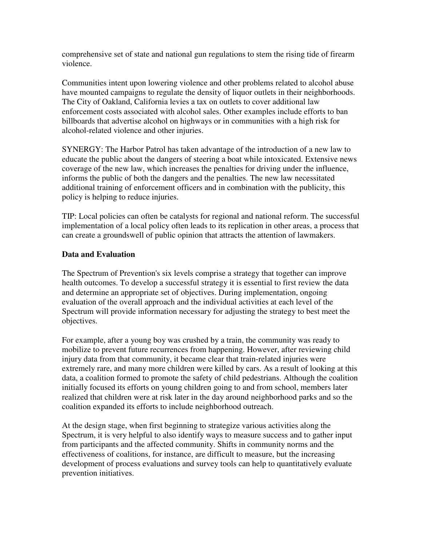comprehensive set of state and national gun regulations to stem the rising tide of firearm violence.

Communities intent upon lowering violence and other problems related to alcohol abuse have mounted campaigns to regulate the density of liquor outlets in their neighborhoods. The City of Oakland, California levies a tax on outlets to cover additional law enforcement costs associated with alcohol sales. Other examples include efforts to ban billboards that advertise alcohol on highways or in communities with a high risk for alcohol-related violence and other injuries.

SYNERGY: The Harbor Patrol has taken advantage of the introduction of a new law to educate the public about the dangers of steering a boat while intoxicated. Extensive news coverage of the new law, which increases the penalties for driving under the influence, informs the public of both the dangers and the penalties. The new law necessitated additional training of enforcement officers and in combination with the publicity, this policy is helping to reduce injuries.

TIP: Local policies can often be catalysts for regional and national reform. The successful implementation of a local policy often leads to its replication in other areas, a process that can create a groundswell of public opinion that attracts the attention of lawmakers.

# **Data and Evaluation**

The Spectrum of Prevention's six levels comprise a strategy that together can improve health outcomes. To develop a successful strategy it is essential to first review the data and determine an appropriate set of objectives. During implementation, ongoing evaluation of the overall approach and the individual activities at each level of the Spectrum will provide information necessary for adjusting the strategy to best meet the objectives.

For example, after a young boy was crushed by a train, the community was ready to mobilize to prevent future recurrences from happening. However, after reviewing child injury data from that community, it became clear that train-related injuries were extremely rare, and many more children were killed by cars. As a result of looking at this data, a coalition formed to promote the safety of child pedestrians. Although the coalition initially focused its efforts on young children going to and from school, members later realized that children were at risk later in the day around neighborhood parks and so the coalition expanded its efforts to include neighborhood outreach.

At the design stage, when first beginning to strategize various activities along the Spectrum, it is very helpful to also identify ways to measure success and to gather input from participants and the affected community. Shifts in community norms and the effectiveness of coalitions, for instance, are difficult to measure, but the increasing development of process evaluations and survey tools can help to quantitatively evaluate prevention initiatives.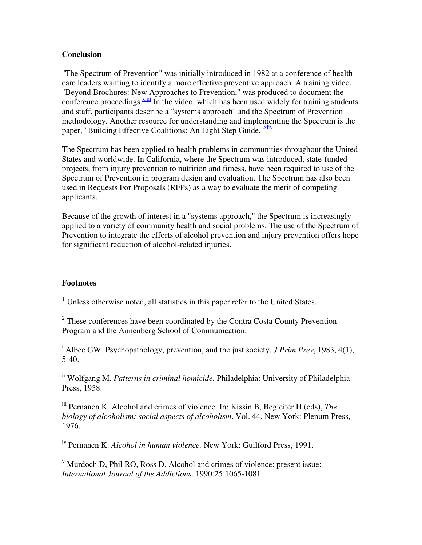## **Conclusion**

"The Spectrum of Prevention" was initially introduced in 1982 at a conference of health care leaders wanting to identify a more effective preventive approach. A training video, "Beyond Brochures: New Approaches to Prevention," was produced to document the conference proceedings. $\frac{x\text{liii}}{x\text{li}}$  In the video, which has been used widely for training students and staff, participants describe a "systems approach" and the Spectrum of Prevention methodology. Another resource for understanding and implementing the Spectrum is the paper, "Building Effective Coalitions: An Eight Step Guide."Xliv

The Spectrum has been applied to health problems in communities throughout the United States and worldwide. In California, where the Spectrum was introduced, state-funded projects, from injury prevention to nutrition and fitness, have been required to use of the Spectrum of Prevention in program design and evaluation. The Spectrum has also been used in Requests For Proposals (RFPs) as a way to evaluate the merit of competing applicants.

Because of the growth of interest in a "systems approach," the Spectrum is increasingly applied to a variety of community health and social problems. The use of the Spectrum of Prevention to integrate the efforts of alcohol prevention and injury prevention offers hope for significant reduction of alcohol-related injuries.

### **Footnotes**

<sup>1</sup> Unless otherwise noted, all statistics in this paper refer to the United States.

 $2$  These conferences have been coordinated by the Contra Costa County Prevention Program and the Annenberg School of Communication.

<sup>i</sup> Albee GW. Psychopathology, prevention, and the just society. *J Prim Prev*, 1983, 4(1), 5-40.

ii Wolfgang M. *Patterns in criminal homicide.* Philadelphia: University of Philadelphia Press, 1958.

iii Pernanen K. Alcohol and crimes of violence. In: Kissin B, Begleiter H (eds), *The biology of alcoholism: social aspects of alcoholism*. Vol. 44. New York: Plenum Press, 1976.

iv Pernanen K. *Alcohol in human violence.* New York: Guilford Press, 1991.

v Murdoch D, Phil RO, Ross D. Alcohol and crimes of violence: present issue: *International Journal of the Addictions*. 1990:25:1065-1081.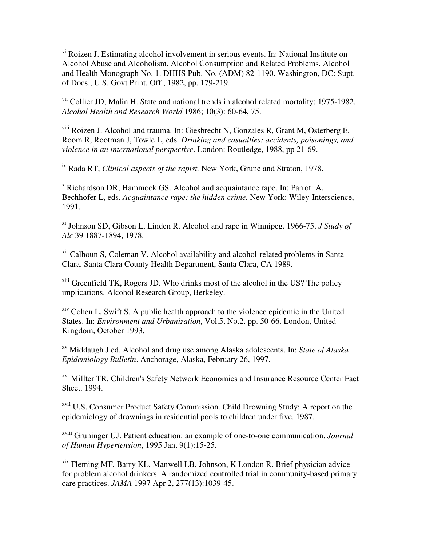vi Roizen J. Estimating alcohol involvement in serious events. In: National Institute on Alcohol Abuse and Alcoholism. Alcohol Consumption and Related Problems. Alcohol and Health Monograph No. 1. DHHS Pub. No. (ADM) 82-1190. Washington, DC: Supt. of Docs., U.S. Govt Print. Off., 1982, pp. 179-219.

vii Collier JD, Malin H. State and national trends in alcohol related mortality: 1975-1982. *Alcohol Health and Research World* 1986; 10(3): 60-64, 75.

viii Roizen J. Alcohol and trauma. In: Giesbrecht N, Gonzales R, Grant M, Osterberg E, Room R, Rootman J, Towle L, eds. *Drinking and casualties: accidents, poisonings, and violence in an international perspective*. London: Routledge, 1988, pp 21-69.

ix Rada RT, *Clinical aspects of the rapist.* New York, Grune and Straton, 1978.

x Richardson DR, Hammock GS. Alcohol and acquaintance rape. In: Parrot: A, Bechhofer L, eds. *Acquaintance rape: the hidden crime.* New York: Wiley-Interscience, 1991.

xi Johnson SD, Gibson L, Linden R. Alcohol and rape in Winnipeg. 1966-75. *J Study of Alc* 39 1887-1894, 1978.

xii Calhoun S, Coleman V. Alcohol availability and alcohol-related problems in Santa Clara. Santa Clara County Health Department, Santa Clara, CA 1989.

xiii Greenfield TK, Rogers JD. Who drinks most of the alcohol in the US? The policy implications. Alcohol Research Group, Berkeley.

xiv Cohen L, Swift S. A public health approach to the violence epidemic in the United States. In: *Environment and Urbanization*, Vol.5, No.2. pp. 50-66. London, United Kingdom, October 1993.

xv Middaugh J ed. Alcohol and drug use among Alaska adolescents. In: *State of Alaska Epidemiology Bulletin*. Anchorage, Alaska, February 26, 1997.

xvi Millter TR. Children's Safety Network Economics and Insurance Resource Center Fact Sheet. 1994.

xvii U.S. Consumer Product Safety Commission. Child Drowning Study: A report on the epidemiology of drownings in residential pools to children under five. 1987.

xviii Gruninger UJ. Patient education: an example of one-to-one communication. *Journal of Human Hypertension*, 1995 Jan, 9(1):15-25.

xix Fleming MF, Barry KL, Manwell LB, Johnson, K London R. Brief physician advice for problem alcohol drinkers. A randomized controlled trial in community-based primary care practices. *JAMA* 1997 Apr 2, 277(13):1039-45.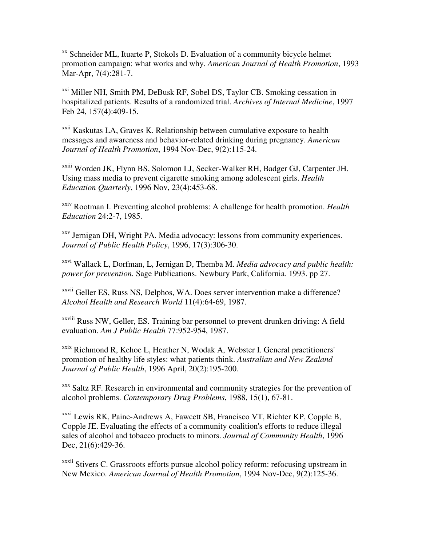$X<sub>x</sub>$  Schneider ML, Ituarte P, Stokols D. Evaluation of a community bicycle helmet promotion campaign: what works and why. *American Journal of Health Promotion*, 1993 Mar-Apr, 7(4):281-7.

xxi Miller NH, Smith PM, DeBusk RF, Sobel DS, Taylor CB. Smoking cessation in hospitalized patients. Results of a randomized trial. *Archives of Internal Medicine*, 1997 Feb 24, 157(4):409-15.

<sup>xxii</sup> Kaskutas LA, Graves K. Relationship between cumulative exposure to health messages and awareness and behavior-related drinking during pregnancy. *American Journal of Health Promotion*, 1994 Nov-Dec, 9(2):115-24.

xxiii Worden JK, Flynn BS, Solomon LJ, Secker-Walker RH, Badger GJ, Carpenter JH. Using mass media to prevent cigarette smoking among adolescent girls. *Health Education Quarterly*, 1996 Nov, 23(4):453-68.

xxiv Rootman I. Preventing alcohol problems: A challenge for health promotion. *Health Education* 24:2-7, 1985.

xxv Jernigan DH, Wright PA. Media advocacy: lessons from community experiences. *Journal of Public Health Policy*, 1996, 17(3):306-30.

xxvi Wallack L, Dorfman, L, Jernigan D, Themba M. *Media advocacy and public health: power for prevention.* Sage Publications. Newbury Park, California. 1993. pp 27.

xxvii Geller ES, Russ NS, Delphos, WA. Does server intervention make a difference? *Alcohol Health and Research World* 11(4):64-69, 1987.

xxviii Russ NW, Geller, ES. Training bar personnel to prevent drunken driving: A field evaluation. *Am J Public Health* 77:952-954, 1987.

<sup>xxix</sup> Richmond R, Kehoe L, Heather N, Wodak A, Webster I. General practitioners' promotion of healthy life styles: what patients think. *Australian and New Zealand Journal of Public Health*, 1996 April, 20(2):195-200.

xxx Saltz RF. Research in environmental and community strategies for the prevention of alcohol problems. *Contemporary Drug Problems*, 1988, 15(1), 67-81.

xxxi Lewis RK, Paine-Andrews A, Fawcett SB, Francisco VT, Richter KP, Copple B, Copple JE. Evaluating the effects of a community coalition's efforts to reduce illegal sales of alcohol and tobacco products to minors. *Journal of Community Health*, 1996 Dec, 21(6):429-36.

xxxii Stivers C. Grassroots efforts pursue alcohol policy reform: refocusing upstream in New Mexico. *American Journal of Health Promotion*, 1994 Nov-Dec, 9(2):125-36.